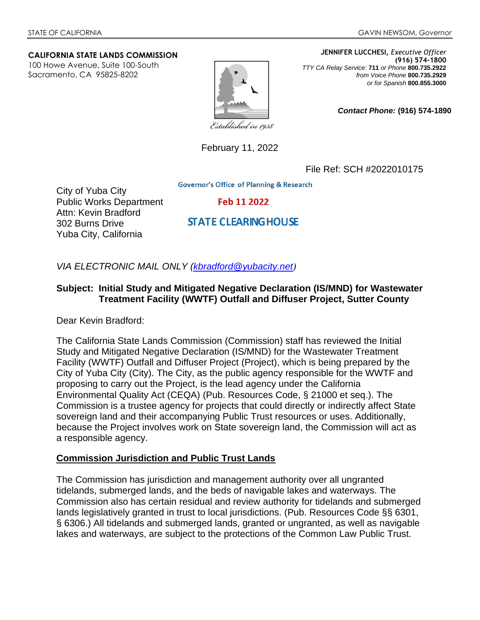#### **CALIFORNIA STATE LANDS COMMISSION**

100 Howe Avenue, Suite 100-South Sacramento, CA 95825-8202



**JENNIFER LUCCHESI,** *Executive Officer* **(916) 574-1800**  *TTY CA Relay Service:* **711** *or Phone* **800.735.2922** *from Voice Phone* **800.735.2929** *or for Spanish* **800.855.3000**

*Contact Phone:* **(916) 574-1890**

Established in 1938

February 11, 2022

File Ref: SCH #2022010175

**Governor's Office of Planning & Research** 

City of Yuba City Public Works Department Attn: Kevin Bradford 302 Burns Drive Yuba City, California

Feb 11 2022

**STATE CLEARING HOUSE** 

*VIA ELECTRONIC MAIL ONLY [\(kbradford@yubacity.net](mailto:kbradford@yubacity.net))*

#### **Subject: Initial Study and Mitigated Negative Declaration (IS/MND) for Wastewater Treatment Facility (WWTF) Outfall and Diffuser Project, Sutter County**

Dear Kevin Bradford:

The California State Lands Commission (Commission) staff has reviewed the Initial Study and Mitigated Negative Declaration (IS/MND) for the Wastewater Treatment Facility (WWTF) Outfall and Diffuser Project (Project), which is being prepared by the City of Yuba City (City). The City, as the public agency responsible for the WWTF and proposing to carry out the Project, is the lead agency under the California Environmental Quality Act (CEQA) (Pub. Resources Code, § 21000 et seq.). The Commission is a trustee agency for projects that could directly or indirectly affect State sovereign land and their accompanying Public Trust resources or uses. Additionally, because the Project involves work on State sovereign land, the Commission will act as a responsible agency.

#### **Commission Jurisdiction and Public Trust Lands**

The Commission has jurisdiction and management authority over all ungranted tidelands, submerged lands, and the beds of navigable lakes and waterways. The Commission also has certain residual and review authority for tidelands and submerged lands legislatively granted in trust to local jurisdictions. (Pub. Resources Code §§ 6301, § 6306.) All tidelands and submerged lands, granted or ungranted, as well as navigable lakes and waterways, are subject to the protections of the Common Law Public Trust.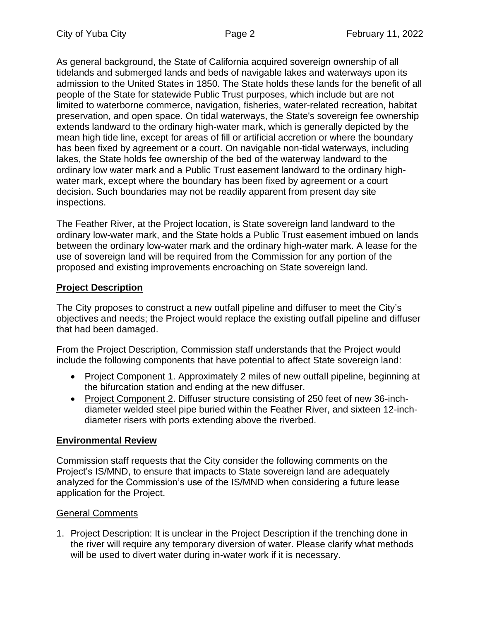As general background, the State of California acquired sovereign ownership of all tidelands and submerged lands and beds of navigable lakes and waterways upon its admission to the United States in 1850. The State holds these lands for the benefit of all people of the State for statewide Public Trust purposes, which include but are not limited to waterborne commerce, navigation, fisheries, water-related recreation, habitat preservation, and open space. On tidal waterways, the State's sovereign fee ownership extends landward to the ordinary high-water mark, which is generally depicted by the mean high tide line, except for areas of fill or artificial accretion or where the boundary has been fixed by agreement or a court. On navigable non-tidal waterways, including lakes, the State holds fee ownership of the bed of the waterway landward to the ordinary low water mark and a Public Trust easement landward to the ordinary highwater mark, except where the boundary has been fixed by agreement or a court decision. Such boundaries may not be readily apparent from present day site inspections.

The Feather River, at the Project location, is State sovereign land landward to the ordinary low-water mark, and the State holds a Public Trust easement imbued on lands between the ordinary low-water mark and the ordinary high-water mark. A lease for the use of sovereign land will be required from the Commission for any portion of the proposed and existing improvements encroaching on State sovereign land.

# **Project Description**

The City proposes to construct a new outfall pipeline and diffuser to meet the City's objectives and needs; the Project would replace the existing outfall pipeline and diffuser that had been damaged.

From the Project Description, Commission staff understands that the Project would include the following components that have potential to affect State sovereign land:

- Project Component 1. Approximately 2 miles of new outfall pipeline, beginning at the bifurcation station and ending at the new diffuser.
- Project Component 2. Diffuser structure consisting of 250 feet of new 36-inchdiameter welded steel pipe buried within the Feather River, and sixteen 12-inchdiameter risers with ports extending above the riverbed.

## **Environmental Review**

Commission staff requests that the City consider the following comments on the Project's IS/MND, to ensure that impacts to State sovereign land are adequately analyzed for the Commission's use of the IS/MND when considering a future lease application for the Project.

## General Comments

1. Project Description: It is unclear in the Project Description if the trenching done in the river will require any temporary diversion of water. Please clarify what methods will be used to divert water during in-water work if it is necessary.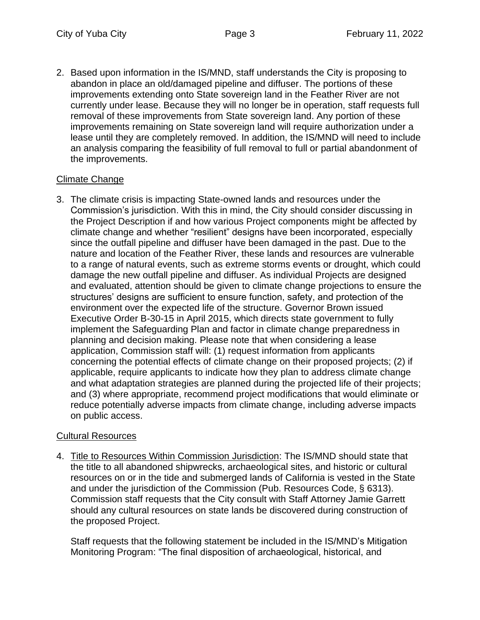2. Based upon information in the IS/MND, staff understands the City is proposing to abandon in place an old/damaged pipeline and diffuser. The portions of these improvements extending onto State sovereign land in the Feather River are not currently under lease. Because they will no longer be in operation, staff requests full removal of these improvements from State sovereign land. Any portion of these improvements remaining on State sovereign land will require authorization under a lease until they are completely removed. In addition, the IS/MND will need to include an analysis comparing the feasibility of full removal to full or partial abandonment of the improvements.

## Climate Change

3. The climate crisis is impacting State-owned lands and resources under the Commission's jurisdiction. With this in mind, the City should consider discussing in the Project Description if and how various Project components might be affected by climate change and whether "resilient" designs have been incorporated, especially since the outfall pipeline and diffuser have been damaged in the past. Due to the nature and location of the Feather River, these lands and resources are vulnerable to a range of natural events, such as extreme storms events or drought, which could damage the new outfall pipeline and diffuser. As individual Projects are designed and evaluated, attention should be given to climate change projections to ensure the structures' designs are sufficient to ensure function, safety, and protection of the environment over the expected life of the structure. Governor Brown issued Executive Order B-30-15 in April 2015, which directs state government to fully implement the Safeguarding Plan and factor in climate change preparedness in planning and decision making. Please note that when considering a lease application, Commission staff will: (1) request information from applicants concerning the potential effects of climate change on their proposed projects; (2) if applicable, require applicants to indicate how they plan to address climate change and what adaptation strategies are planned during the projected life of their projects; and (3) where appropriate, recommend project modifications that would eliminate or reduce potentially adverse impacts from climate change, including adverse impacts on public access.

## Cultural Resources

4. Title to Resources Within Commission Jurisdiction: The IS/MND should state that the title to all abandoned shipwrecks, archaeological sites, and historic or cultural resources on or in the tide and submerged lands of California is vested in the State and under the jurisdiction of the Commission (Pub. Resources Code, § 6313). Commission staff requests that the City consult with Staff Attorney Jamie Garrett should any cultural resources on state lands be discovered during construction of the proposed Project.

Staff requests that the following statement be included in the IS/MND's Mitigation Monitoring Program: "The final disposition of archaeological, historical, and